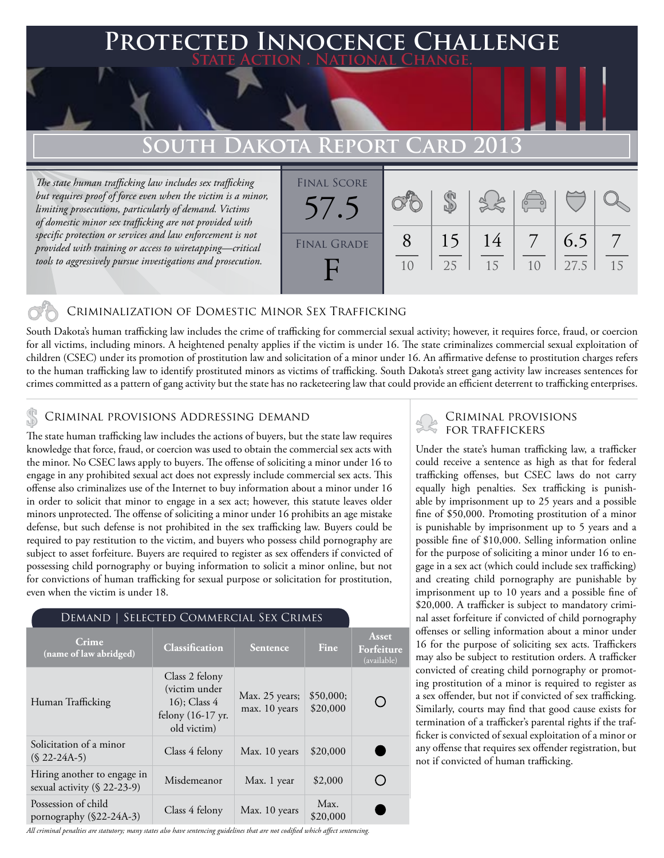## **FED INNOCENCE CHALLENGE State Action . National Change.**

# **South Dakota Report Card 2013**

*The state human trafficking law includes sex trafficking but requires proof of force even when the victim is a minor, limiting prosecutions, particularly of demand. Victims of domestic minor sex trafficking are not provided with specific protection or services and law enforcement is not provided with training or access to wiretapping—critical tools to aggressively pursue investigations and prosecution.*



### Criminalization of Domestic Minor Sex Trafficking

South Dakota's human trafficking law includes the crime of trafficking for commercial sexual activity; however, it requires force, fraud, or coercion for all victims, including minors. A heightened penalty applies if the victim is under 16. The state criminalizes commercial sexual exploitation of children (CSEC) under its promotion of prostitution law and solicitation of a minor under 16. An affirmative defense to prostitution charges refers to the human trafficking law to identify prostituted minors as victims of trafficking. South Dakota's street gang activity law increases sentences for crimes committed as a pattern of gang activity but the state has no racketeering law that could provide an efficient deterrent to trafficking enterprises.

# CRIMINAL PROVISIONS ADDRESSING DEMAND<br>The state human trafficking law includes the estions of humans but the state law required FOR TRAFFICKERS

The state human trafficking law includes the actions of buyers, but the state law requires knowledge that force, fraud, or coercion was used to obtain the commercial sex acts with the minor. No CSEC laws apply to buyers. The offense of soliciting a minor under 16 to engage in any prohibited sexual act does not expressly include commercial sex acts. This offense also criminalizes use of the Internet to buy information about a minor under 16 in order to solicit that minor to engage in a sex act; however, this statute leaves older minors unprotected. The offense of soliciting a minor under 16 prohibits an age mistake defense, but such defense is not prohibited in the sex trafficking law. Buyers could be required to pay restitution to the victim, and buyers who possess child pornography are subject to asset forfeiture. Buyers are required to register as sex offenders if convicted of possessing child pornography or buying information to solicit a minor online, but not for convictions of human trafficking for sexual purpose or solicitation for prostitution, even when the victim is under 18.

### Demand | Selected Commercial Sex Crimes

| <b>Crime</b><br>(name of law abridged)                        | <b>Classification</b>                                                                 | <b>Sentence</b>                 | <b>Fine</b>           | Asset<br>Forfeiture<br>(available) |
|---------------------------------------------------------------|---------------------------------------------------------------------------------------|---------------------------------|-----------------------|------------------------------------|
| Human Trafficking                                             | Class 2 felony<br>(victim under<br>$16$ ; Class 4<br>felony (16-17 yr.<br>old victim) | Max. 25 years;<br>max. 10 years | \$50,000;<br>\$20,000 |                                    |
| Solicitation of a minor<br>$(S$ 22-24A-5)                     | Class 4 felony                                                                        | Max. 10 years                   | \$20,000              |                                    |
| Hiring another to engage in<br>sexual activity $(\S$ 22-23-9) | Misdemeanor                                                                           | Max. 1 year                     | \$2,000               |                                    |
| Possession of child<br>pornography (§22-24A-3)                | Class 4 felony                                                                        | Max. 10 years                   | Max.<br>\$20,000      |                                    |

#### *All criminal penalties are statutory; many states also have sentencing guidelines that are not codified which affect sentencing.*

Under the state's human trafficking law, a trafficker could receive a sentence as high as that for federal trafficking offenses, but CSEC laws do not carry equally high penalties. Sex trafficking is punishable by imprisonment up to 25 years and a possible fine of \$50,000. Promoting prostitution of a minor is punishable by imprisonment up to 5 years and a possible fine of \$10,000. Selling information online for the purpose of soliciting a minor under 16 to engage in a sex act (which could include sex trafficking) and creating child pornography are punishable by imprisonment up to 10 years and a possible fine of \$20,000. A trafficker is subject to mandatory criminal asset forfeiture if convicted of child pornography offenses or selling information about a minor under 16 for the purpose of soliciting sex acts. Traffickers may also be subject to restitution orders. A trafficker convicted of creating child pornography or promoting prostitution of a minor is required to register as a sex offender, but not if convicted of sex trafficking. Similarly, courts may find that good cause exists for termination of a trafficker's parental rights if the trafficker is convicted of sexual exploitation of a minor or any offense that requires sex offender registration, but not if convicted of human trafficking.